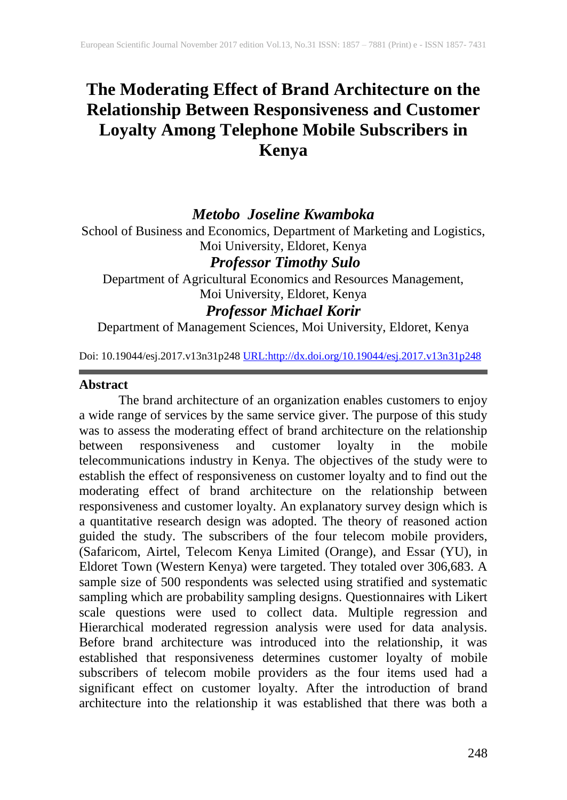# **The Moderating Effect of Brand Architecture on the Relationship Between Responsiveness and Customer Loyalty Among Telephone Mobile Subscribers in Kenya**

### *Metobo Joseline Kwamboka*

School of Business and Economics, Department of Marketing and Logistics, Moi University, Eldoret, Kenya

# *Professor Timothy Sulo*

Department of Agricultural Economics and Resources Management, Moi University, Eldoret, Kenya

# *Professor Michael Korir*

Department of Management Sciences, Moi University, Eldoret, Kenya

Doi: 10.19044/esj.2017.v13n31p248 [URL:http://dx.doi.org/10.19044/esj.2017.v13n31p248](http://dx.doi.org/10.19044/esj.2017.v13n31p248)

#### **Abstract**

The brand architecture of an organization enables customers to enjoy a wide range of services by the same service giver. The purpose of this study was to assess the moderating effect of brand architecture on the relationship between responsiveness and customer loyalty in the mobile telecommunications industry in Kenya. The objectives of the study were to establish the effect of responsiveness on customer loyalty and to find out the moderating effect of brand architecture on the relationship between responsiveness and customer loyalty. An explanatory survey design which is a quantitative research design was adopted. The theory of reasoned action guided the study. The subscribers of the four telecom mobile providers, (Safaricom, Airtel, Telecom Kenya Limited (Orange), and Essar (YU), in Eldoret Town (Western Kenya) were targeted. They totaled over 306,683. A sample size of 500 respondents was selected using stratified and systematic sampling which are probability sampling designs. Questionnaires with Likert scale questions were used to collect data. Multiple regression and Hierarchical moderated regression analysis were used for data analysis. Before brand architecture was introduced into the relationship, it was established that responsiveness determines customer loyalty of mobile subscribers of telecom mobile providers as the four items used had a significant effect on customer loyalty. After the introduction of brand architecture into the relationship it was established that there was both a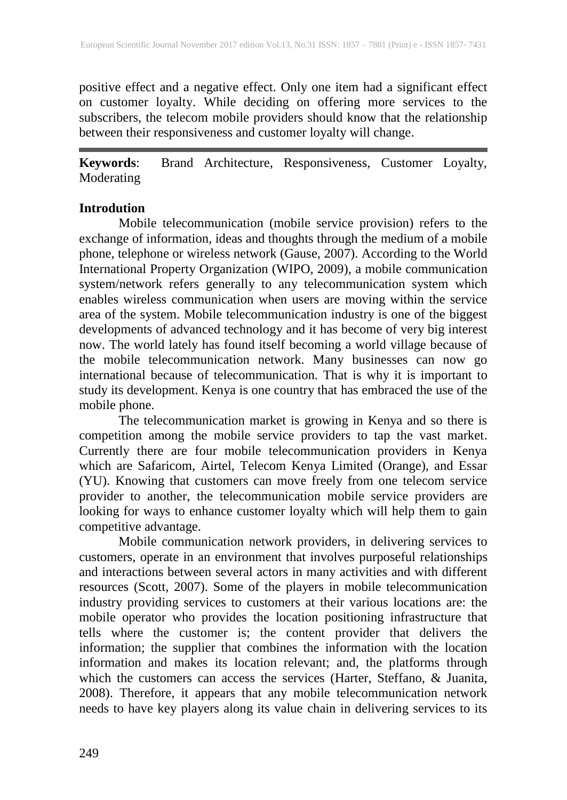positive effect and a negative effect. Only one item had a significant effect on customer loyalty. While deciding on offering more services to the subscribers, the telecom mobile providers should know that the relationship between their responsiveness and customer loyalty will change.

**Keywords**: Brand Architecture, Responsiveness, Customer Loyalty, Moderating

#### **Introdution**

Mobile telecommunication (mobile service provision) refers to the exchange of information, ideas and thoughts through the medium of a mobile phone, telephone or wireless network (Gause, 2007). According to the World International Property Organization (WIPO, 2009), a mobile communication system/network refers generally to any telecommunication system which enables wireless communication when users are moving within the service area of the system. Mobile telecommunication industry is one of the biggest developments of advanced technology and it has become of very big interest now. The world lately has found itself becoming a world village because of the mobile telecommunication network. Many businesses can now go international because of telecommunication. That is why it is important to study its development. Kenya is one country that has embraced the use of the mobile phone.

The telecommunication market is growing in Kenya and so there is competition among the mobile service providers to tap the vast market. Currently there are four mobile telecommunication providers in Kenya which are Safaricom, Airtel, Telecom Kenya Limited (Orange), and Essar (YU). Knowing that customers can move freely from one telecom service provider to another, the telecommunication mobile service providers are looking for ways to enhance customer loyalty which will help them to gain competitive advantage.

Mobile communication network providers, in delivering services to customers, operate in an environment that involves purposeful relationships and interactions between several actors in many activities and with different resources (Scott, 2007). Some of the players in mobile telecommunication industry providing services to customers at their various locations are: the mobile operator who provides the location positioning infrastructure that tells where the customer is; the content provider that delivers the information; the supplier that combines the information with the location information and makes its location relevant; and, the platforms through which the customers can access the services (Harter, Steffano, & Juanita, 2008). Therefore, it appears that any mobile telecommunication network needs to have key players along its value chain in delivering services to its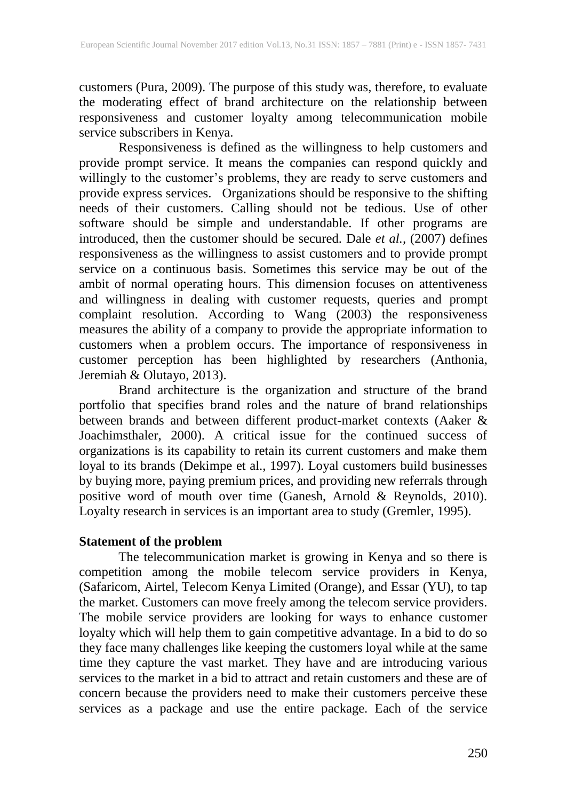customers (Pura, 2009). The purpose of this study was, therefore, to evaluate the moderating effect of brand architecture on the relationship between responsiveness and customer loyalty among telecommunication mobile service subscribers in Kenya.

Responsiveness is defined as the willingness to help customers and provide prompt service. It means the companies can respond quickly and willingly to the customer's problems, they are ready to serve customers and provide express services. Organizations should be responsive to the shifting needs of their customers. Calling should not be tedious. Use of other software should be simple and understandable. If other programs are introduced, then the customer should be secured. Dale *et al.,* (2007) defines responsiveness as the willingness to assist customers and to provide prompt service on a continuous basis. Sometimes this service may be out of the ambit of normal operating hours. This dimension focuses on attentiveness and willingness in dealing with customer requests, queries and prompt complaint resolution. According to Wang (2003) the responsiveness measures the ability of a company to provide the appropriate information to customers when a problem occurs. The importance of responsiveness in customer perception has been highlighted by researchers (Anthonia, Jeremiah & Olutayo, 2013).

Brand architecture is the organization and structure of the brand portfolio that specifies brand roles and the nature of brand relationships between brands and between different product-market contexts (Aaker & Joachimsthaler, 2000). A critical issue for the continued success of organizations is its capability to retain its current customers and make them loyal to its brands (Dekimpe et al., 1997). Loyal customers build businesses by buying more, paying premium prices, and providing new referrals through positive word of mouth over time (Ganesh, Arnold & Reynolds, 2010). Loyalty research in services is an important area to study (Gremler, 1995).

#### **Statement of the problem**

The telecommunication market is growing in Kenya and so there is competition among the mobile telecom service providers in Kenya, (Safaricom, Airtel, Telecom Kenya Limited (Orange), and Essar (YU), to tap the market. Customers can move freely among the telecom service providers. The mobile service providers are looking for ways to enhance customer loyalty which will help them to gain competitive advantage. In a bid to do so they face many challenges like keeping the customers loyal while at the same time they capture the vast market. They have and are introducing various services to the market in a bid to attract and retain customers and these are of concern because the providers need to make their customers perceive these services as a package and use the entire package. Each of the service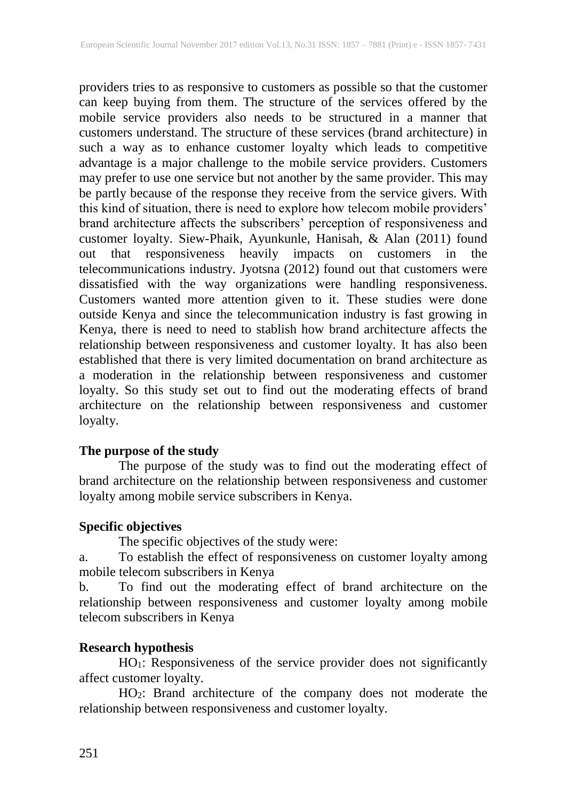providers tries to as responsive to customers as possible so that the customer can keep buying from them. The structure of the services offered by the mobile service providers also needs to be structured in a manner that customers understand. The structure of these services (brand architecture) in such a way as to enhance customer loyalty which leads to competitive advantage is a major challenge to the mobile service providers. Customers may prefer to use one service but not another by the same provider. This may be partly because of the response they receive from the service givers. With this kind of situation, there is need to explore how telecom mobile providers' brand architecture affects the subscribers' perception of responsiveness and customer loyalty. Siew-Phaik, Ayunkunle, Hanisah, & Alan (2011) found out that responsiveness heavily impacts on customers in the telecommunications industry. Jyotsna (2012) found out that customers were dissatisfied with the way organizations were handling responsiveness. Customers wanted more attention given to it. These studies were done outside Kenya and since the telecommunication industry is fast growing in Kenya, there is need to need to stablish how brand architecture affects the relationship between responsiveness and customer loyalty. It has also been established that there is very limited documentation on brand architecture as a moderation in the relationship between responsiveness and customer loyalty. So this study set out to find out the moderating effects of brand architecture on the relationship between responsiveness and customer loyalty.

#### **The purpose of the study**

The purpose of the study was to find out the moderating effect of brand architecture on the relationship between responsiveness and customer loyalty among mobile service subscribers in Kenya.

#### **Specific objectives**

The specific objectives of the study were:

a. To establish the effect of responsiveness on customer loyalty among mobile telecom subscribers in Kenya

b. To find out the moderating effect of brand architecture on the relationship between responsiveness and customer loyalty among mobile telecom subscribers in Kenya

#### **Research hypothesis**

HO1: Responsiveness of the service provider does not significantly affect customer loyalty.

HO2: Brand architecture of the company does not moderate the relationship between responsiveness and customer loyalty.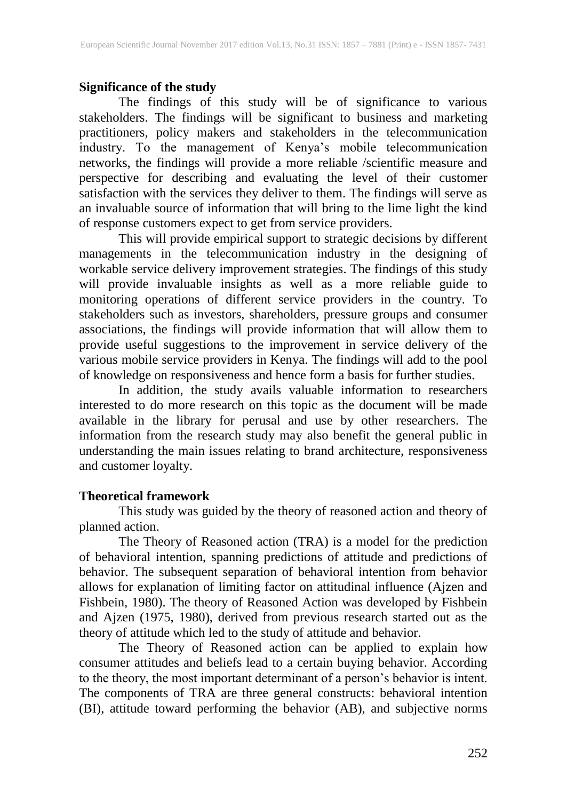#### **Significance of the study**

The findings of this study will be of significance to various stakeholders. The findings will be significant to business and marketing practitioners, policy makers and stakeholders in the telecommunication industry. To the management of Kenya's mobile telecommunication networks, the findings will provide a more reliable /scientific measure and perspective for describing and evaluating the level of their customer satisfaction with the services they deliver to them. The findings will serve as an invaluable source of information that will bring to the lime light the kind of response customers expect to get from service providers.

This will provide empirical support to strategic decisions by different managements in the telecommunication industry in the designing of workable service delivery improvement strategies. The findings of this study will provide invaluable insights as well as a more reliable guide to monitoring operations of different service providers in the country. To stakeholders such as investors, shareholders, pressure groups and consumer associations, the findings will provide information that will allow them to provide useful suggestions to the improvement in service delivery of the various mobile service providers in Kenya. The findings will add to the pool of knowledge on responsiveness and hence form a basis for further studies.

In addition, the study avails valuable information to researchers interested to do more research on this topic as the document will be made available in the library for perusal and use by other researchers. The information from the research study may also benefit the general public in understanding the main issues relating to brand architecture, responsiveness and customer loyalty.

#### **Theoretical framework**

This study was guided by the theory of reasoned action and theory of planned action.

The Theory of Reasoned action (TRA) is a model for the prediction of behavioral intention, spanning predictions of attitude and predictions of behavior. The subsequent separation of behavioral intention from behavior allows for explanation of limiting factor on attitudinal influence (Ajzen and Fishbein, 1980). The theory of Reasoned Action was developed by Fishbein and Ajzen (1975, 1980), derived from previous research started out as the theory of attitude which led to the study of attitude and behavior.

The Theory of Reasoned action can be applied to explain how consumer attitudes and beliefs lead to a certain buying behavior. According to the theory, the most important determinant of a person's behavior is intent. The components of TRA are three general constructs: behavioral intention (BI), attitude toward performing the behavior (AB), and subjective norms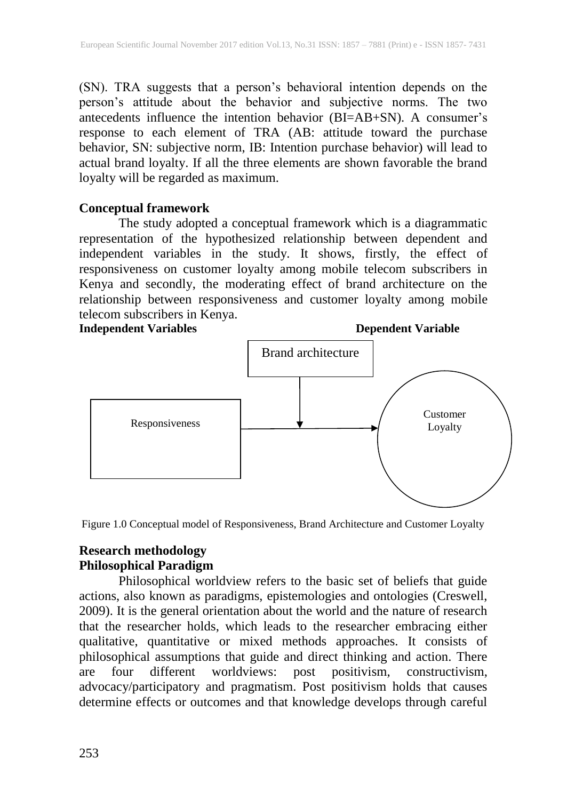(SN). TRA suggests that a person's behavioral intention depends on the person's attitude about the behavior and subjective norms. The two antecedents influence the intention behavior (BI=AB+SN). A consumer's response to each element of TRA (AB: attitude toward the purchase behavior, SN: subjective norm, IB: Intention purchase behavior) will lead to actual brand loyalty. If all the three elements are shown favorable the brand loyalty will be regarded as maximum.

## **Conceptual framework**

The study adopted a conceptual framework which is a diagrammatic representation of the hypothesized relationship between dependent and independent variables in the study. It shows, firstly, the effect of responsiveness on customer loyalty among mobile telecom subscribers in Kenya and secondly, the moderating effect of brand architecture on the relationship between responsiveness and customer loyalty among mobile telecom subscribers in Kenya.



Figure 1.0 Conceptual model of Responsiveness, Brand Architecture and Customer Loyalty

#### **Research methodology Philosophical Paradigm**

Philosophical worldview refers to the basic set of beliefs that guide actions, also known as paradigms, epistemologies and ontologies (Creswell, 2009). It is the general orientation about the world and the nature of research that the researcher holds, which leads to the researcher embracing either qualitative, quantitative or mixed methods approaches. It consists of philosophical assumptions that guide and direct thinking and action. There are four different worldviews: post positivism, constructivism, advocacy/participatory and pragmatism. Post positivism holds that causes determine effects or outcomes and that knowledge develops through careful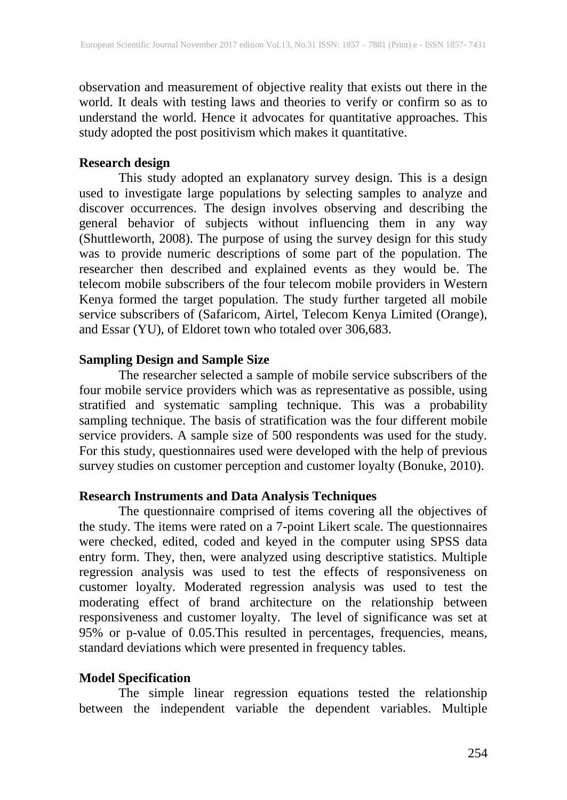observation and measurement of objective reality that exists out there in the world. It deals with testing laws and theories to verify or confirm so as to understand the world. Hence it advocates for quantitative approaches. This study adopted the post positivism which makes it quantitative.

#### **Research design**

This study adopted an explanatory survey design. This is a design used to investigate large populations by selecting samples to analyze and discover occurrences. The design involves observing and describing the general behavior of subjects without influencing them in any way (Shuttleworth, 2008). The purpose of using the survey design for this study was to provide numeric descriptions of some part of the population. The researcher then described and explained events as they would be. The telecom mobile subscribers of the four telecom mobile providers in Western Kenya formed the target population. The study further targeted all mobile service subscribers of (Safaricom, Airtel, Telecom Kenya Limited (Orange), and Essar (YU), of Eldoret town who totaled over 306,683.

#### **Sampling Design and Sample Size**

The researcher selected a sample of mobile service subscribers of the four mobile service providers which was as representative as possible, using stratified and systematic sampling technique. This was a probability sampling technique. The basis of stratification was the four different mobile service providers. A sample size of 500 respondents was used for the study. For this study, questionnaires used were developed with the help of previous survey studies on customer perception and customer loyalty (Bonuke, 2010).

#### **Research Instruments and Data Analysis Techniques**

The questionnaire comprised of items covering all the objectives of the study. The items were rated on a 7-point Likert scale. The questionnaires were checked, edited, coded and keyed in the computer using SPSS data entry form. They, then, were analyzed using descriptive statistics. Multiple regression analysis was used to test the effects of responsiveness on customer loyalty. Moderated regression analysis was used to test the moderating effect of brand architecture on the relationship between responsiveness and customer loyalty. The level of significance was set at 95% or p-value of 0.05.This resulted in percentages, frequencies, means, standard deviations which were presented in frequency tables.

# **Model Specification**

The simple linear regression equations tested the relationship between the independent variable the dependent variables. Multiple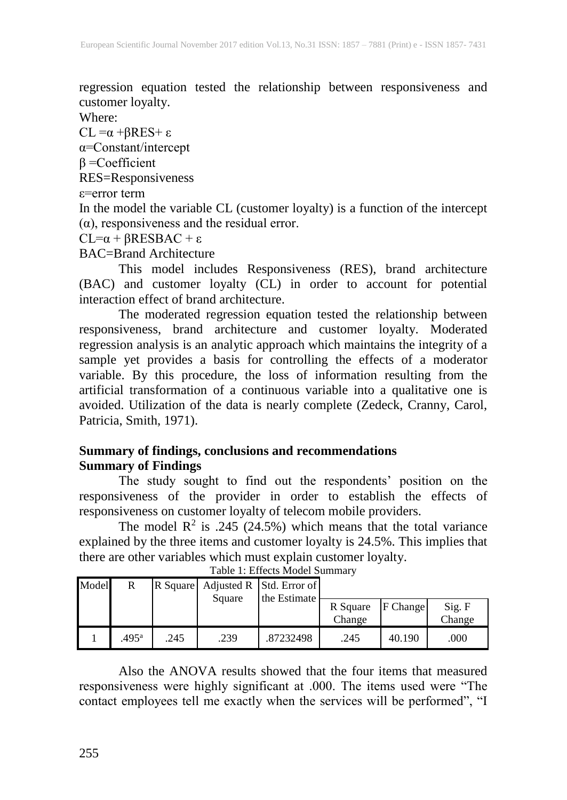regression equation tested the relationship between responsiveness and customer loyalty.

Where:

CL =α +βRES+ ε

α=Constant/intercept

β =Coefficient

RES=Responsiveness

ε=error term

In the model the variable CL (customer loyalty) is a function of the intercept  $(\alpha)$ , responsiveness and the residual error.

 $CL = \alpha + \beta RESBAC + \epsilon$ 

BAC=Brand Architecture

This model includes Responsiveness (RES), brand architecture (BAC) and customer loyalty (CL) in order to account for potential interaction effect of brand architecture.

The moderated regression equation tested the relationship between responsiveness, brand architecture and customer loyalty. Moderated regression analysis is an analytic approach which maintains the integrity of a sample yet provides a basis for controlling the effects of a moderator variable. By this procedure, the loss of information resulting from the  $r_{\text{air}}$  artificial transformation of a continuous variable into a qualitative one is avoided. Utilization of the data is nearly complete (Zedeck, Cranny, Carol, Patricia, Smith, 1971).

### **Summary of findings, conclusions and recommendations Summary of Findings**

The study sought to find out the respondents' position on the responsiveness of the provider in order to establish the effects of responsiveness on customer loyalty of telecom mobile providers.

The model  $R^2$  is .245 (24.5%) which means that the total variance explained by the three items and customer loyalty is 24.5%. This implies that there are other variables which must explain customer loyalty.

| Model | R              |      |        | R Square Adjusted R Std. Error of<br>the Estimate |                    |          |                  |
|-------|----------------|------|--------|---------------------------------------------------|--------------------|----------|------------------|
|       |                |      | Square |                                                   | R Square<br>Change | F Change | Sig. F<br>Change |
|       | $.495^{\rm a}$ | .245 | .239   | .87232498                                         | .245               | 40.190   | .000             |

Table 1: Effects Model Summary

Also the ANOVA results showed that the four items that measured responsiveness were highly significant at .000. The items used were "The contact employees tell me exactly when the services will be performed", "I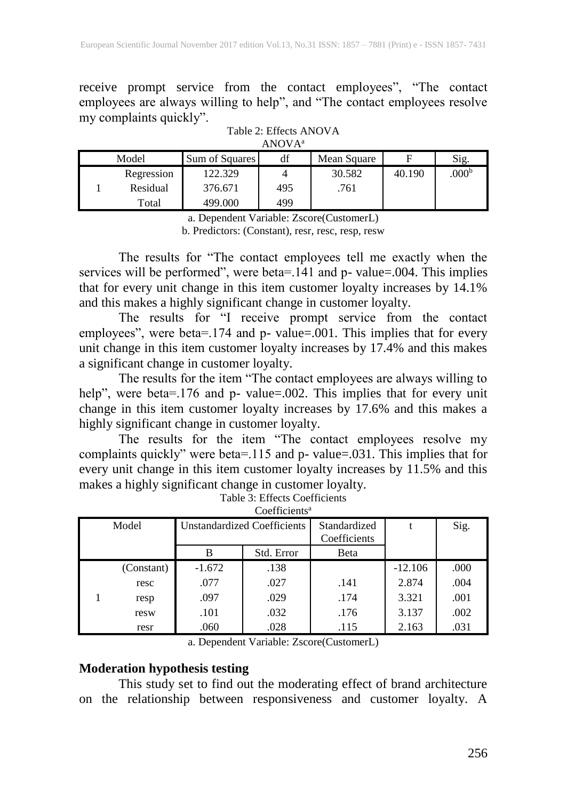receive prompt service from the contact employees", "The contact employees are always willing to help", and "The contact employees resolve my complaints quickly".

| ANUVA <sup>-</sup> |            |                |     |             |        |                   |  |  |
|--------------------|------------|----------------|-----|-------------|--------|-------------------|--|--|
| Model              |            | Sum of Squares | df  | Mean Square |        | Sig.              |  |  |
|                    | Regression | 122.329        |     | 30.582      | 40.190 | .000 <sup>b</sup> |  |  |
|                    | Residual   | 376.671        | 495 | .761        |        |                   |  |  |
|                    | Total      | 499.000        | 499 |             |        |                   |  |  |

| Table 2: Effects ANOVA |
|------------------------|
| ANOVA <sup>a</sup>     |

a. Dependent Variable: Zscore(CustomerL) b. Predictors: (Constant), resr, resc, resp, resw

The results for "The contact employees tell me exactly when the services will be performed", were beta=.141 and p- value=.004. This implies that for every unit change in this item customer loyalty increases by 14.1% and this makes a highly significant change in customer loyalty.

The results for "I receive prompt service from the contact employees", were beta=.174 and p- value=.001. This implies that for every unit change in this item customer loyalty increases by 17.4% and this makes a significant change in customer loyalty.

The results for the item "The contact employees are always willing to help", were beta=.176 and p- value=.002. This implies that for every unit change in this item customer loyalty increases by 17.6% and this makes a highly significant change in customer loyalty.

The results for the item "The contact employees resolve my complaints quickly" were beta=.115 and p- value=.031. This implies that for every unit change in this item customer loyalty increases by 11.5% and this makes a highly significant change in customer loyalty.

| COUNTRIES |            |                                    |            |                              |           |      |  |  |  |
|-----------|------------|------------------------------------|------------|------------------------------|-----------|------|--|--|--|
| Model     |            | <b>Unstandardized Coefficients</b> |            | Standardized<br>Coefficients |           | Sig. |  |  |  |
|           |            | в                                  | Std. Error | Beta                         |           |      |  |  |  |
|           | (Constant) | $-1.672$                           | .138       |                              | $-12.106$ | .000 |  |  |  |
|           | resc       | .077                               | .027       | .141                         | 2.874     | .004 |  |  |  |
|           | resp       | .097                               | .029       | .174                         | 3.321     | .001 |  |  |  |
|           | resw       | .101                               | .032       | .176                         | 3.137     | .002 |  |  |  |
|           | resr       | .060                               | .028       | .115                         | 2.163     | .031 |  |  |  |

| Table 3: Effects Coefficients |  |
|-------------------------------|--|
| Coefficients <sup>a</sup>     |  |

a. Dependent Variable: Zscore(CustomerL)

### **Moderation hypothesis testing**

This study set to find out the moderating effect of brand architecture on the relationship between responsiveness and customer loyalty. A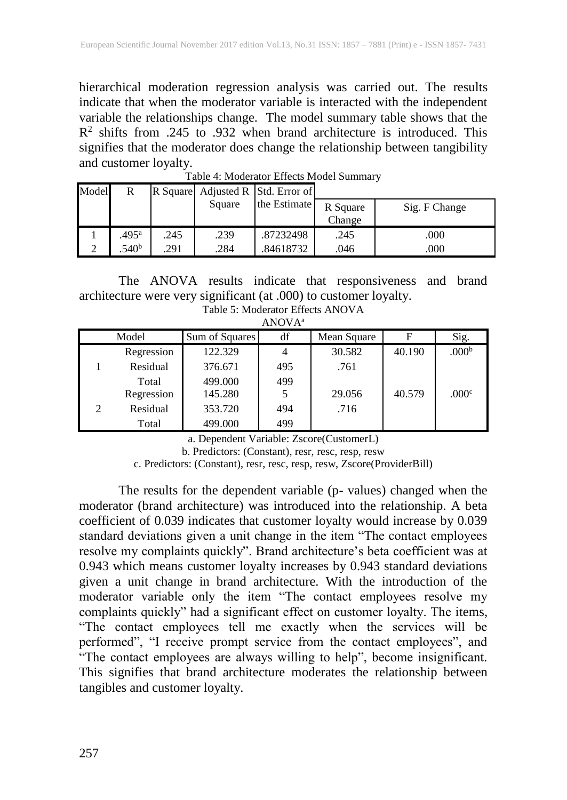hierarchical moderation regression analysis was carried out. The results indicate that when the moderator variable is interacted with the independent variable the relationships change. The model summary table shows that the  $R<sup>2</sup>$  shifts from .245 to .932 when brand architecture is introduced. This signifies that the moderator does change the relationship between tangibility and customer loyalty.

| Model | R                   |      |        | R Square Adjusted R Std. Error of |                    |               |
|-------|---------------------|------|--------|-----------------------------------|--------------------|---------------|
|       |                     |      | Square | the Estimate                      | R Square<br>Change | Sig. F Change |
|       | $.495$ <sup>a</sup> | .245 | .239   | .87232498                         | .245               | .000          |
|       | .540 <sup>b</sup>   | 291  | .284   | .84618732                         | .046               | .000          |

Table 4: Moderator Effects Model Summary

The ANOVA results indicate that responsiveness and brand architecture were very significant (at .000) to customer loyalty.

| . <i>.</i>                  |            |                |     |             |        |                   |  |
|-----------------------------|------------|----------------|-----|-------------|--------|-------------------|--|
| Model                       |            | Sum of Squares | df  | Mean Square | F      | Sig.              |  |
|                             | Regression | 122.329        |     | 30.582      | 40.190 | .000 <sup>b</sup> |  |
|                             | Residual   | 376.671        | 495 | .761        |        |                   |  |
|                             | Total      | 499.000        | 499 |             |        |                   |  |
|                             | Regression | 145.280        |     | 29.056      | 40.579 | .000 <sup>c</sup> |  |
| $\mathcal{D}_{\mathcal{L}}$ | Residual   | 353.720        | 494 | .716        |        |                   |  |
|                             | Total      | 499.000        | 499 |             |        |                   |  |

| Table 5: Moderator Effects ANOVA |  |
|----------------------------------|--|
| ANOVA <sup>a</sup>               |  |

a. Dependent Variable: Zscore(CustomerL)

b. Predictors: (Constant), resr, resc, resp, resw

c. Predictors: (Constant), resr, resc, resp, resw, Zscore(ProviderBill)

The results for the dependent variable (p- values) changed when the moderator (brand architecture) was introduced into the relationship. A beta coefficient of 0.039 indicates that customer loyalty would increase by 0.039 standard deviations given a unit change in the item "The contact employees resolve my complaints quickly". Brand architecture's beta coefficient was at 0.943 which means customer loyalty increases by 0.943 standard deviations given a unit change in brand architecture. With the introduction of the moderator variable only the item "The contact employees resolve my complaints quickly" had a significant effect on customer loyalty. The items, "The contact employees tell me exactly when the services will be performed", "I receive prompt service from the contact employees", and "The contact employees are always willing to help", become insignificant. This signifies that brand architecture moderates the relationship between tangibles and customer loyalty.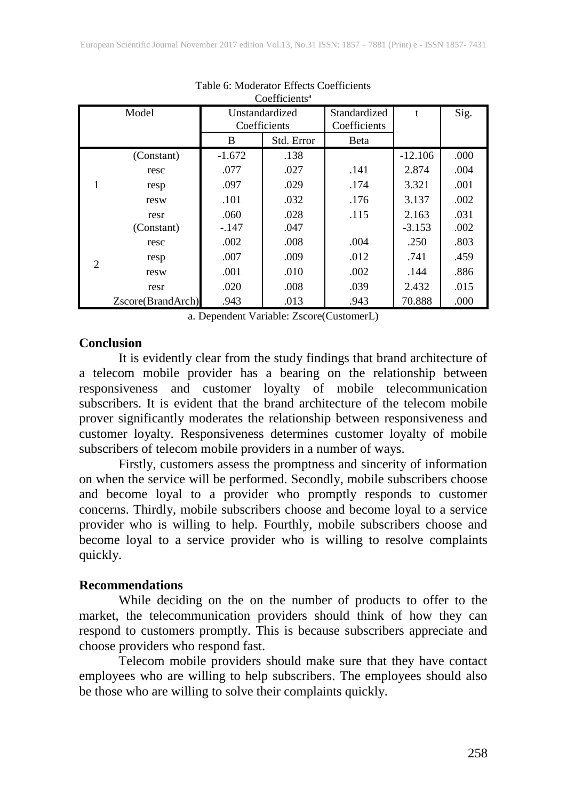| Coemicients <sup>-</sup>    |                   |                                |            |                              |           |      |  |  |
|-----------------------------|-------------------|--------------------------------|------------|------------------------------|-----------|------|--|--|
| Model                       |                   | Unstandardized<br>Coefficients |            | Standardized<br>Coefficients | t         | Sig. |  |  |
|                             |                   | B                              | Std. Error | <b>B</b> eta                 |           |      |  |  |
| (Constant)                  |                   | $-1.672$                       | .138       |                              | $-12.106$ | .000 |  |  |
|                             | resc              | .077                           | .027       | .141                         | 2.874     | .004 |  |  |
|                             | resp              | .097                           | .029       | .174                         | 3.321     | .001 |  |  |
|                             | resw              | .101                           | .032       | .176                         | 3.137     | .002 |  |  |
|                             | resr              | .060                           | .028       | .115                         | 2.163     | .031 |  |  |
|                             | (Constant)        | $-.147$                        | .047       |                              | $-3.153$  | .002 |  |  |
|                             | resc              | .002                           | .008       | .004                         | .250      | .803 |  |  |
| $\mathcal{D}_{\mathcal{L}}$ | resp              | .007                           | .009       | .012                         | .741      | .459 |  |  |
|                             | resw              | .001                           | .010       | .002                         | .144      | .886 |  |  |
|                             | resr              | .020                           | .008       | .039                         | 2.432     | .015 |  |  |
|                             | Zscore(BrandArch) | .943                           | .013       | .943                         | 70.888    | .000 |  |  |

#### Table 6: Moderator Effects Coefficients  $C^{\text{c}}$  construction

a. Dependent Variable: Zscore(CustomerL)

#### **Conclusion**

It is evidently clear from the study findings that brand architecture of a telecom mobile provider has a bearing on the relationship between responsiveness and customer loyalty of mobile telecommunication subscribers. It is evident that the brand architecture of the telecom mobile prover significantly moderates the relationship between responsiveness and customer loyalty. Responsiveness determines customer loyalty of mobile subscribers of telecom mobile providers in a number of ways.

Firstly, customers assess the promptness and sincerity of information on when the service will be performed. Secondly, mobile subscribers choose and become loyal to a provider who promptly responds to customer concerns. Thirdly, mobile subscribers choose and become loyal to a service provider who is willing to help. Fourthly, mobile subscribers choose and become loyal to a service provider who is willing to resolve complaints quickly.

#### **Recommendations**

While deciding on the on the number of products to offer to the market, the telecommunication providers should think of how they can respond to customers promptly. This is because subscribers appreciate and choose providers who respond fast.

Telecom mobile providers should make sure that they have contact employees who are willing to help subscribers. The employees should also be those who are willing to solve their complaints quickly.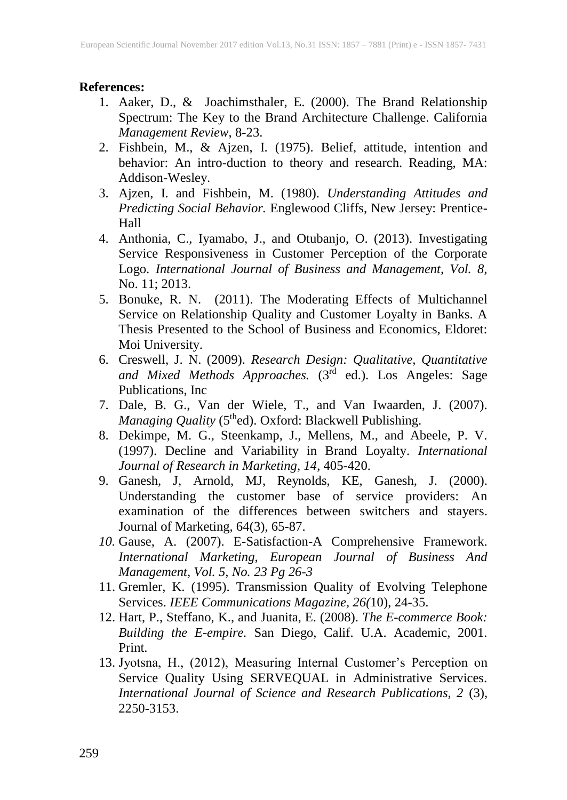#### **References:**

- 1. Aaker, D., & Joachimsthaler, E. (2000). The Brand Relationship Spectrum: The Key to the Brand Architecture Challenge. California *Management Review*, 8-23.
- 2. Fishbein, M., & Ajzen, I. (1975). Belief, attitude, intention and behavior: An intro-duction to theory and research. Reading, MA: Addison-Wesley.
- 3. Ajzen, I. and Fishbein, M. (1980). *Understanding Attitudes and Predicting Social Behavior.* Englewood Cliffs, New Jersey: Prentice-Hall
- 4. Anthonia, C., Iyamabo, J., and Otubanjo, O. (2013). Investigating Service Responsiveness in Customer Perception of the Corporate Logo. *International Journal of Business and Management, Vol. 8,* No. 11; 2013.
- 5. Bonuke, R. N. (2011). The Moderating Effects of Multichannel Service on Relationship Quality and Customer Loyalty in Banks. A Thesis Presented to the School of Business and Economics, Eldoret: Moi University.
- 6. Creswell, J. N. (2009). *Research Design: Qualitative, Quantitative and Mixed Methods Approaches.* (3rd ed.). Los Angeles: Sage Publications, Inc
- 7. Dale, B. G., Van der Wiele, T., and Van Iwaarden, J. (2007). *Managing Quality* (5<sup>th</sup>ed). Oxford: Blackwell Publishing.
- 8. Dekimpe, M. G., Steenkamp, J., Mellens, M., and Abeele, P. V. (1997). Decline and Variability in Brand Loyalty. *International Journal of Research in Marketing, 14*, 405-420.
- 9. Ganesh, J, Arnold, MJ, Reynolds, KE, Ganesh, J. (2000). Understanding the customer base of service providers: An examination of the differences between switchers and stayers. Journal of Marketing, 64(3), 65-87.
- *10.* Gause, A. (2007). E-Satisfaction-A Comprehensive Framework. *International Marketing, European Journal of Business And Management, Vol. 5, No. 23 Pg 26-3*
- 11. Gremler, K. (1995). Transmission Quality of Evolving Telephone Services. *IEEE Communications Magazine, 26(*10), 24-35.
- 12. Hart, P., Steffano, K., and Juanita, E. (2008). *The E-commerce Book: Building the E-empire.* San Diego, Calif. U.A. Academic, 2001. Print.
- 13. Jyotsna, H., (2012), Measuring Internal Customer's Perception on Service Quality Using SERVEQUAL in Administrative Services. *International Journal of Science and Research Publications, 2* (3), 2250-3153.